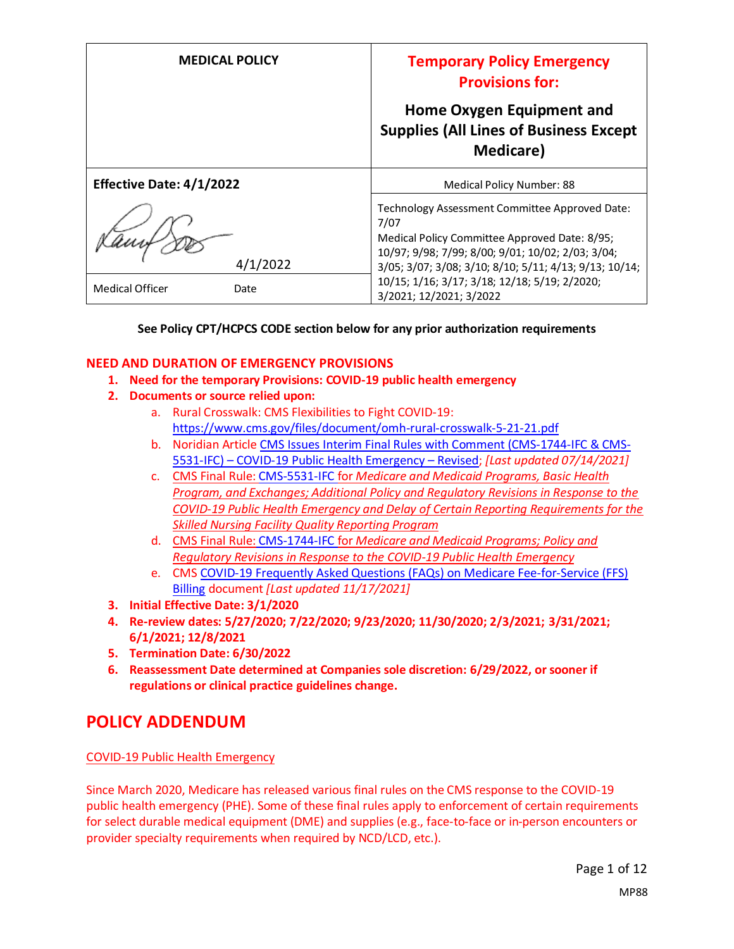| <b>MEDICAL POLICY</b>           | <b>Temporary Policy Emergency</b><br><b>Provisions for:</b>                                                                                                                                                            |
|---------------------------------|------------------------------------------------------------------------------------------------------------------------------------------------------------------------------------------------------------------------|
|                                 | Home Oxygen Equipment and<br><b>Supplies (All Lines of Business Except</b><br><b>Medicare</b> )                                                                                                                        |
| <b>Effective Date: 4/1/2022</b> | Medical Policy Number: 88                                                                                                                                                                                              |
| 4/1/2022                        | Technology Assessment Committee Approved Date:<br>7/07<br>Medical Policy Committee Approved Date: 8/95;<br>10/97; 9/98; 7/99; 8/00; 9/01; 10/02; 2/03; 3/04;<br>3/05; 3/07; 3/08; 3/10; 8/10; 5/11; 4/13; 9/13; 10/14; |
| <b>Medical Officer</b><br>Date  | 10/15; 1/16; 3/17; 3/18; 12/18; 5/19; 2/2020;<br>3/2021; 12/2021; 3/2022                                                                                                                                               |

#### **See Policy CPT/HCPCS CODE section below for any prior authorization requirements**

#### **NEED AND DURATION OF EMERGENCY PROVISIONS**

- **1. Need for the temporary Provisions: COVID-19 public health emergency**
- **2. Documents or source relied upon:** 
	- a. Rural Crosswalk: CMS Flexibilities to Fight COVID-19: <https://www.cms.gov/files/document/omh-rural-crosswalk-5-21-21.pdf>
	- b. Noridian Article [CMS Issues Interim Final Rules with Comment \(CMS-1744-IFC & CMS-](https://med.noridianmedicare.com/web/jadme/policies/dmd-articles/2020/cms-issues-interim-final-rules-with-comment-cms-1744-ifc-cms-5531-ifc-covid-19-public-health-emergency-revised3)5531-IFC) – [COVID-19 Public Health Emergency](https://med.noridianmedicare.com/web/jadme/policies/dmd-articles/2020/cms-issues-interim-final-rules-with-comment-cms-1744-ifc-cms-5531-ifc-covid-19-public-health-emergency-revised3) – Revised; *[Last updated 07/14/2021]*
	- c. [CMS Final Rule: CMS-5531-IFC](https://www.cms.gov/files/document/covid-medicare-and-medicaid-ifc2.pdf) for *Medicare and Medicaid Programs, Basic Health Program, and Exchanges; Additional Policy and Regulatory Revisions in Response to the COVID-19 Public Health Emergency and Delay of Certain Reporting Requirements for the Skilled Nursing Facility Quality Reporting Program*
	- d. CMS Final Rule: [CMS-1744-IFC](https://www.cms.gov/files/document/covid-final-ifc.pdf) for *Medicare and Medicaid Programs; Policy and Regulatory Revisions in Response to the COVID-19 Public Health Emergency*
	- e. CMS [COVID-19 Frequently Asked Questions \(FAQs\) on Medicare Fee-for-Service \(FFS\)](https://www.cms.gov/files/document/03092020-covid-19-faqs-508.pdf)  [Billing](https://www.cms.gov/files/document/03092020-covid-19-faqs-508.pdf) document *[Last updated 11/17/2021]*
- **3. Initial Effective Date: 3/1/2020**
- **4. Re-review dates: 5/27/2020; 7/22/2020; 9/23/2020; 11/30/2020; 2/3/2021; 3/31/2021; 6/1/2021; 12/8/2021**
- **5. Termination Date: 6/30/2022**
- **6. Reassessment Date determined at Companies sole discretion: 6/29/2022, or sooner if regulations or clinical practice guidelines change.**

## **POLICY ADDENDUM**

#### COVID-19 Public Health Emergency

Since March 2020, Medicare has released various final rules on the CMS response to the COVID-19 public health emergency (PHE). Some of these final rules apply to enforcement of certain requirements for select durable medical equipment (DME) and supplies (e.g., face-to-face or in-person encounters or provider specialty requirements when required by NCD/LCD, etc.).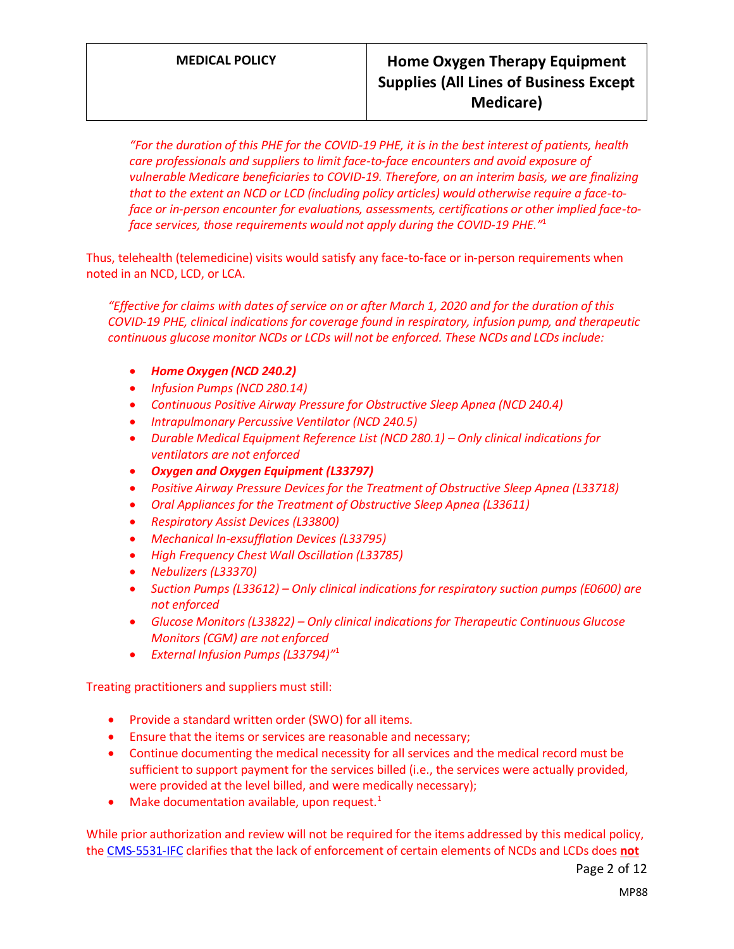*"For the duration of this PHE for the COVID-19 PHE, it is in the best interest of patients, health care professionals and suppliers to limit face-to-face encounters and avoid exposure of vulnerable Medicare beneficiaries to COVID-19. Therefore, on an interim basis, we are finalizing that to the extent an NCD or LCD (including policy articles) would otherwise require a face-toface or in-person encounter for evaluations, assessments, certifications or other implied face-toface services, those requirements would not apply during the COVID-19 PHE."* 1

Thus, telehealth (telemedicine) visits would satisfy any face-to-face or in-person requirements when noted in an NCD, LCD, or LCA.

*"Effective for claims with dates of service on or after March 1, 2020 and for the duration of this COVID-19 PHE, clinical indications for coverage found in respiratory, infusion pump, and therapeutic continuous glucose monitor NCDs or LCDs will not be enforced. These NCDs and LCDs include:*

- *Home Oxygen (NCD 240.2)*
- *Infusion Pumps (NCD 280.14)*
- *Continuous Positive Airway Pressure for Obstructive Sleep Apnea (NCD 240.4)*
- *Intrapulmonary Percussive Ventilator (NCD 240.5)*
- *Durable Medical Equipment Reference List (NCD 280.1) Only clinical indications for ventilators are not enforced*
- *Oxygen and Oxygen Equipment (L33797)*
- *Positive Airway Pressure Devices for the Treatment of Obstructive Sleep Apnea (L33718)*
- *Oral Appliances for the Treatment of Obstructive Sleep Apnea (L33611)*
- *Respiratory Assist Devices (L33800)*
- *Mechanical In-exsufflation Devices (L33795)*
- *High Frequency Chest Wall Oscillation (L33785)*
- *Nebulizers (L33370)*
- *Suction Pumps (L33612) – Only clinical indications for respiratory suction pumps (E0600) are not enforced*
- *Glucose Monitors (L33822) – Only clinical indications for Therapeutic Continuous Glucose Monitors (CGM) are not enforced*
- *External Infusion Pumps (L33794)"* 1

Treating practitioners and suppliers must still:

- Provide a standard written order (SWO) for all items.
- Ensure that the items or services are reasonable and necessary;
- Continue documenting the medical necessity for all services and the medical record must be sufficient to support payment for the services billed (i.e., the services were actually provided, were provided at the level billed, and were medically necessary);
- Make documentation available, upon request. $1$

While prior authorization and review will not be required for the items addressed by this medical policy, the [CMS-5531-IFC](https://www.cms.gov/files/document/covid-medicare-and-medicaid-ifc2.pdf) clarifies that the lack of enforcement of certain elements of NCDs and LCDs does **not**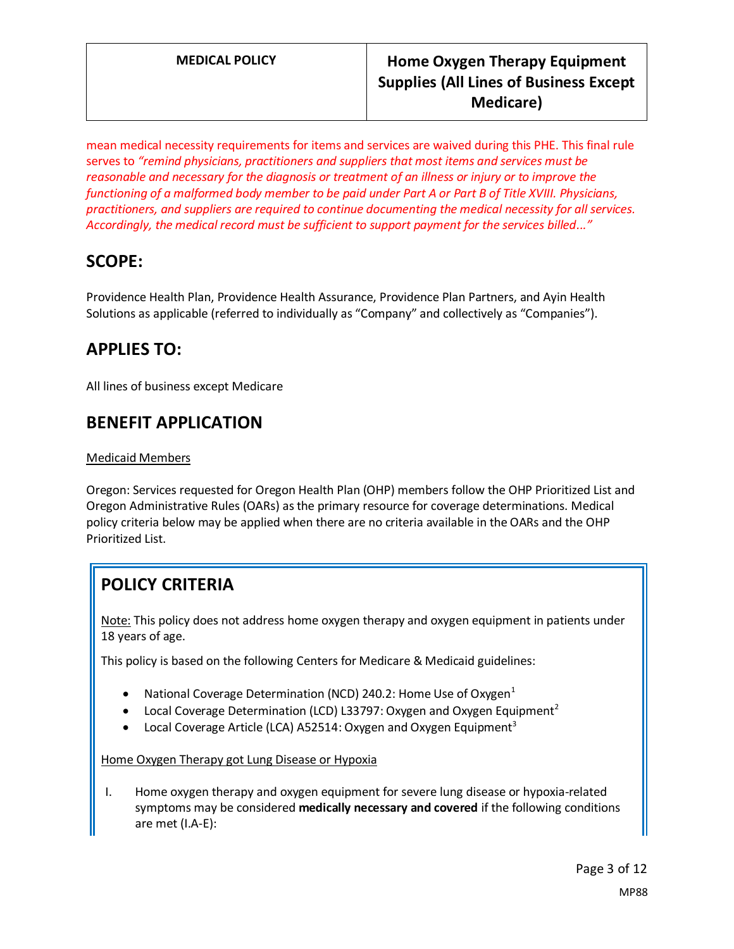mean medical necessity requirements for items and services are waived during this PHE. This final rule serves to *"remind physicians, practitioners and suppliers that most items and services must be reasonable and necessary for the diagnosis or treatment of an illness or injury or to improve the functioning of a malformed body member to be paid under Part A or Part B of Title XVIII. Physicians, practitioners, and suppliers are required to continue documenting the medical necessity for all services. Accordingly, the medical record must be sufficient to support payment for the services billed..."*

# **SCOPE:**

Providence Health Plan, Providence Health Assurance, Providence Plan Partners, and Ayin Health Solutions as applicable (referred to individually as "Company" and collectively as "Companies").

# **APPLIES TO:**

All lines of business except Medicare

# **BENEFIT APPLICATION**

#### Medicaid Members

Oregon: Services requested for Oregon Health Plan (OHP) members follow the OHP Prioritized List and Oregon Administrative Rules (OARs) as the primary resource for coverage determinations. Medical policy criteria below may be applied when there are no criteria available in the OARs and the OHP Prioritized List.

# **POLICY CRITERIA**

Note: This policy does not address home oxygen therapy and oxygen equipment in patients under 18 years of age.

This policy is based on the following Centers for Medicare & Medicaid guidelines:

- National Coverage Determination (NCD) 240.2: Home Use of Oxygen $<sup>1</sup>$ </sup>
- Local Coverage Determination (LCD) L33797: Oxygen and Oxygen Equipment<sup>2</sup>
- Local Coverage Article (LCA) A52514: Oxygen and Oxygen Equipment<sup>3</sup>

Home Oxygen Therapy got Lung Disease or Hypoxia

I. Home oxygen therapy and oxygen equipment for severe lung disease or hypoxia-related symptoms may be considered **medically necessary and covered** if the following conditions are met (I.A-E):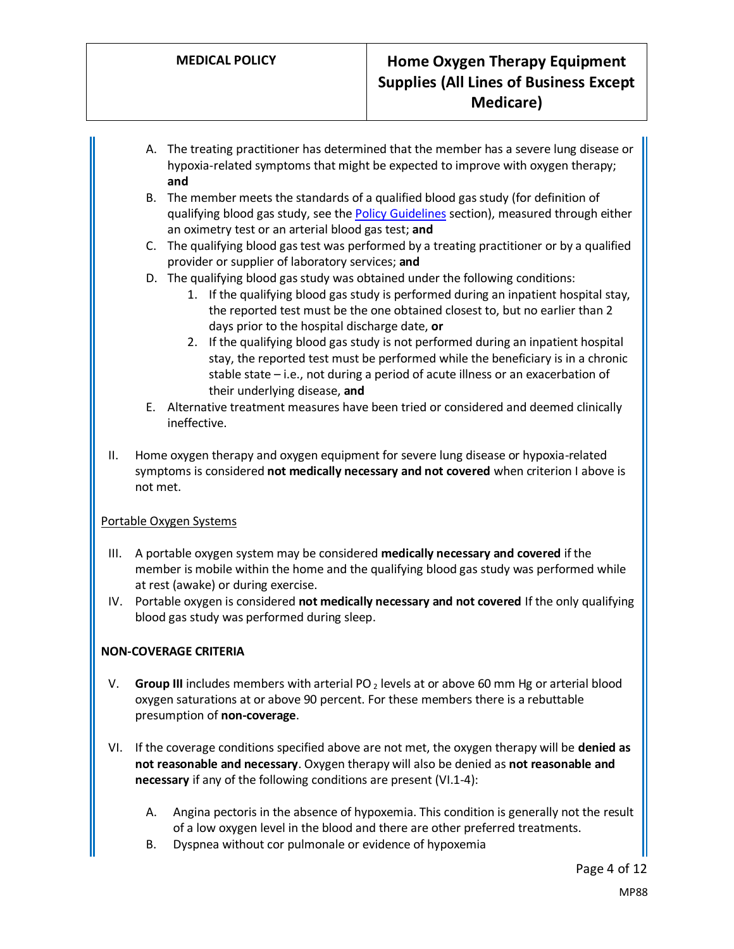- A. The treating practitioner has determined that the member has a severe lung disease or hypoxia-related symptoms that might be expected to improve with oxygen therapy; **and**
- B. The member meets the standards of a qualified blood gas study (for definition of qualifying blood gas study, see th[e Policy Guidelines](#page-4-0) section), measured through either an oximetry test or an arterial blood gas test; **and**
- C. The qualifying blood gas test was performed by a treating practitioner or by a qualified provider or supplier of laboratory services; **and**
- D. The qualifying blood gas study was obtained under the following conditions:
	- 1. If the qualifying blood gas study is performed during an inpatient hospital stay, the reported test must be the one obtained closest to, but no earlier than 2 days prior to the hospital discharge date, **or**
	- 2. If the qualifying blood gas study is not performed during an inpatient hospital stay, the reported test must be performed while the beneficiary is in a chronic stable state – i.e., not during a period of acute illness or an exacerbation of their underlying disease, **and**
- E. Alternative treatment measures have been tried or considered and deemed clinically ineffective.
- II. Home oxygen therapy and oxygen equipment for severe lung disease or hypoxia-related symptoms is considered **not medically necessary and not covered** when criterion I above is not met.

#### Portable Oxygen Systems

- III. A portable oxygen system may be considered **medically necessary and covered** if the member is mobile within the home and the qualifying blood gas study was performed while at rest (awake) or during exercise.
- IV. Portable oxygen is considered **not medically necessary and not covered** If the only qualifying blood gas study was performed during sleep.

## **NON-COVERAGE CRITERIA**

- V. **Group III** includes members with arterial PO<sub>2</sub> levels at or above 60 mm Hg or arterial blood oxygen saturations at or above 90 percent. For these members there is a rebuttable presumption of **non-coverage**.
- VI. If the coverage conditions specified above are not met, the oxygen therapy will be **denied as not reasonable and necessary**. Oxygen therapy will also be denied as **not reasonable and necessary** if any of the following conditions are present (VI.1-4):
	- A. Angina pectoris in the absence of hypoxemia. This condition is generally not the result of a low oxygen level in the blood and there are other preferred treatments.
	- B. Dyspnea without cor pulmonale or evidence of hypoxemia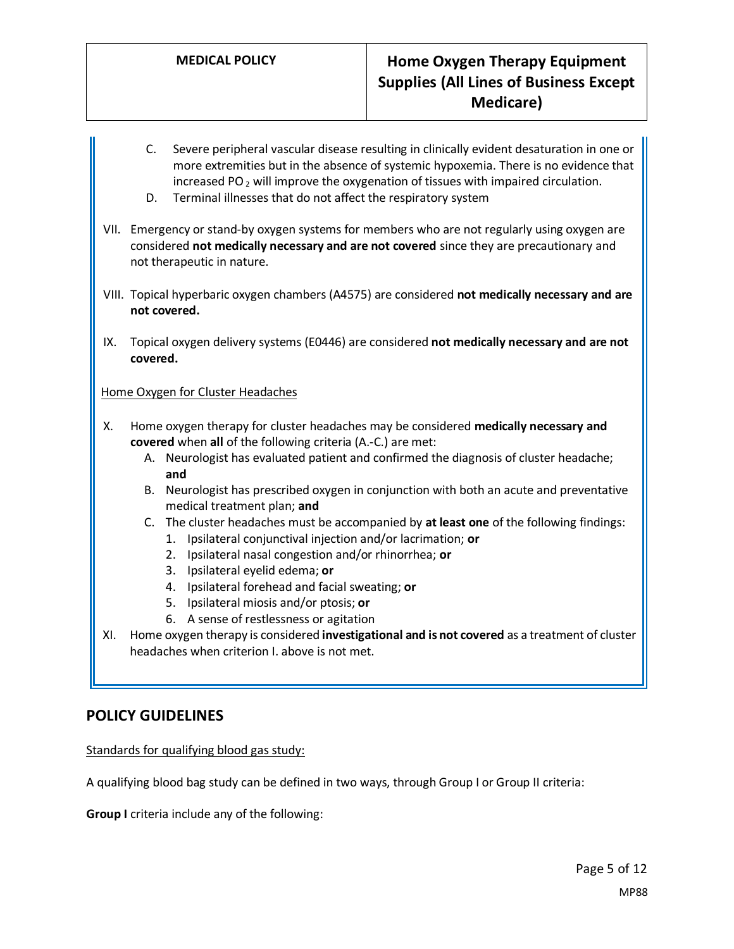- C. Severe peripheral vascular disease resulting in clinically evident desaturation in one or more extremities but in the absence of systemic hypoxemia. There is no evidence that increased PO<sub>2</sub> will improve the oxygenation of tissues with impaired circulation.
- D. Terminal illnesses that do not affect the respiratory system
- VII. Emergency or stand-by oxygen systems for members who are not regularly using oxygen are considered **not medically necessary and are not covered** since they are precautionary and not therapeutic in nature.
- VIII. Topical hyperbaric oxygen chambers (A4575) are considered **not medically necessary and are not covered.**
- IX. Topical oxygen delivery systems (E0446) are considered **not medically necessary and are not covered.**

## Home Oxygen for Cluster Headaches

- X. Home oxygen therapy for cluster headaches may be considered **medically necessary and covered** when **all** of the following criteria (A.-C.) are met:
	- A. Neurologist has evaluated patient and confirmed the diagnosis of cluster headache; **and**
	- B. Neurologist has prescribed oxygen in conjunction with both an acute and preventative medical treatment plan; **and**
	- C. The cluster headaches must be accompanied by **at least one** of the following findings:
		- 1. Ipsilateral conjunctival injection and/or lacrimation; **or**
		- 2. Ipsilateral nasal congestion and/or rhinorrhea; **or**
		- 3. Ipsilateral eyelid edema; **or**
		- 4. Ipsilateral forehead and facial sweating; **or**
		- 5. Ipsilateral miosis and/or ptosis; **or**
		- 6. A sense of restlessness or agitation
- XI. Home oxygen therapy is considered **investigational and is not covered** as a treatment of cluster headaches when criterion I. above is not met.

## **POLICY GUIDELINES**

<span id="page-4-0"></span>Standards for qualifying blood gas study:

A qualifying blood bag study can be defined in two ways, through Group I or Group II criteria:

**Group I** criteria include any of the following: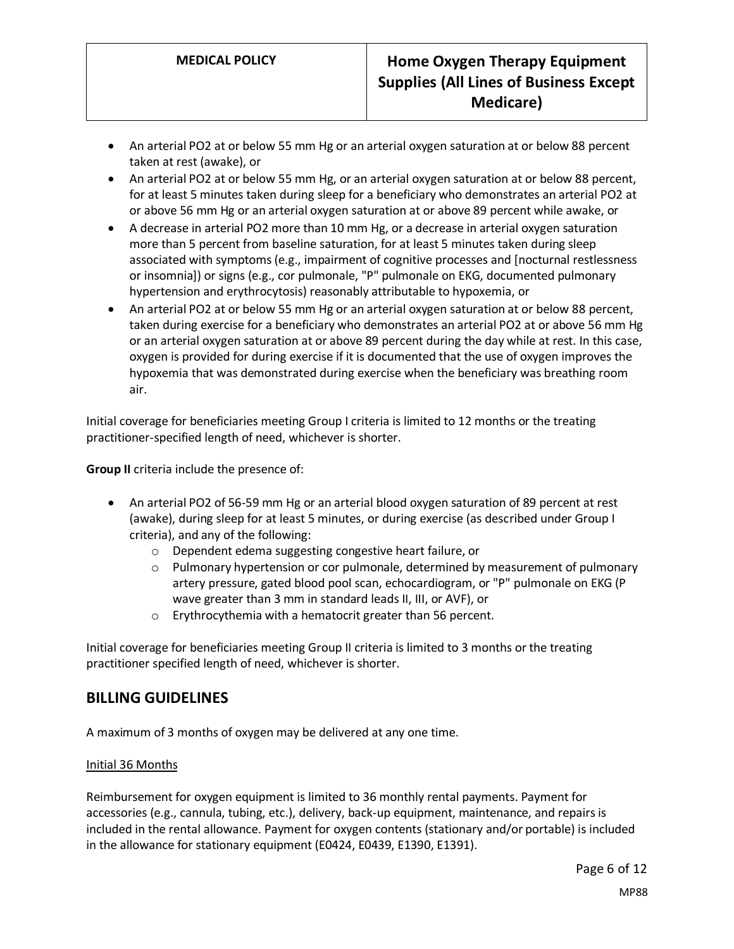- An arterial PO2 at or below 55 mm Hg or an arterial oxygen saturation at or below 88 percent taken at rest (awake), or
- An arterial PO2 at or below 55 mm Hg, or an arterial oxygen saturation at or below 88 percent, for at least 5 minutes taken during sleep for a beneficiary who demonstrates an arterial PO2 at or above 56 mm Hg or an arterial oxygen saturation at or above 89 percent while awake, or
- A decrease in arterial PO2 more than 10 mm Hg, or a decrease in arterial oxygen saturation more than 5 percent from baseline saturation, for at least 5 minutes taken during sleep associated with symptoms (e.g., impairment of cognitive processes and [nocturnal restlessness or insomnia]) or signs (e.g., cor pulmonale, "P" pulmonale on EKG, documented pulmonary hypertension and erythrocytosis) reasonably attributable to hypoxemia, or
- An arterial PO2 at or below 55 mm Hg or an arterial oxygen saturation at or below 88 percent, taken during exercise for a beneficiary who demonstrates an arterial PO2 at or above 56 mm Hg or an arterial oxygen saturation at or above 89 percent during the day while at rest. In this case, oxygen is provided for during exercise if it is documented that the use of oxygen improves the hypoxemia that was demonstrated during exercise when the beneficiary was breathing room air.

Initial coverage for beneficiaries meeting Group I criteria is limited to 12 months or the treating practitioner-specified length of need, whichever is shorter.

**Group II** criteria include the presence of:

- An arterial PO2 of 56-59 mm Hg or an arterial blood oxygen saturation of 89 percent at rest (awake), during sleep for at least 5 minutes, or during exercise (as described under Group I criteria), and any of the following:
	- o Dependent edema suggesting congestive heart failure, or
	- o Pulmonary hypertension or cor pulmonale, determined by measurement of pulmonary artery pressure, gated blood pool scan, echocardiogram, or "P" pulmonale on EKG (P wave greater than 3 mm in standard leads II, III, or AVF), or
	- o Erythrocythemia with a hematocrit greater than 56 percent.

Initial coverage for beneficiaries meeting Group II criteria is limited to 3 months or the treating practitioner specified length of need, whichever is shorter.

## **BILLING GUIDELINES**

A maximum of 3 months of oxygen may be delivered at any one time.

#### Initial 36 Months

Reimbursement for oxygen equipment is limited to 36 monthly rental payments. Payment for accessories (e.g., cannula, tubing, etc.), delivery, back-up equipment, maintenance, and repairs is included in the rental allowance. Payment for oxygen contents (stationary and/or portable) is included in the allowance for stationary equipment (E0424, E0439, E1390, E1391).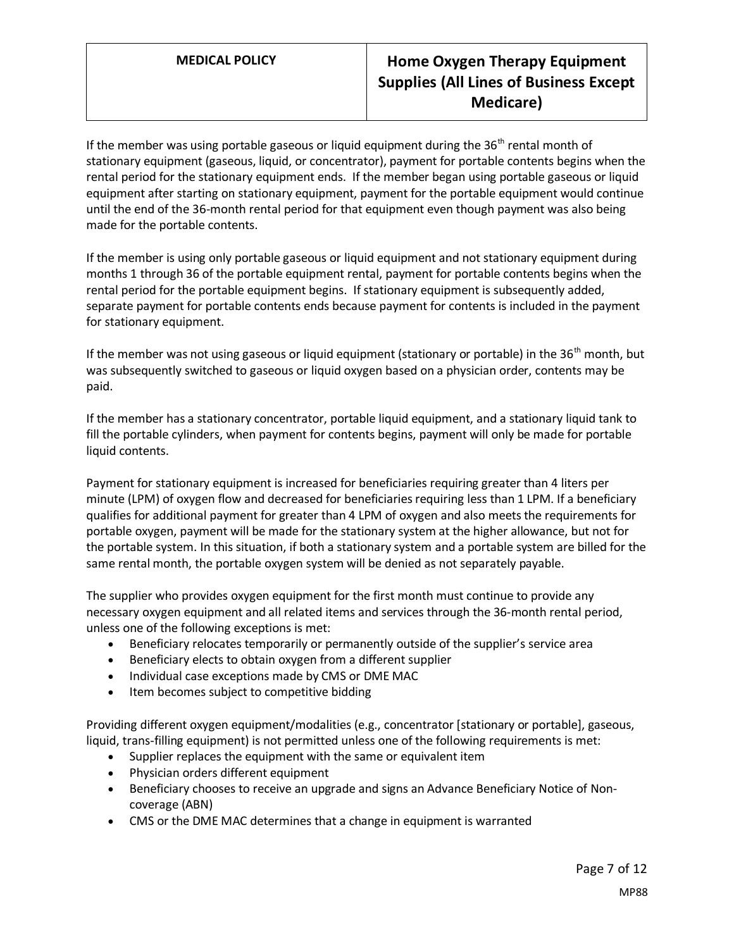If the member was using portable gaseous or liquid equipment during the  $36<sup>th</sup>$  rental month of stationary equipment (gaseous, liquid, or concentrator), payment for portable contents begins when the rental period for the stationary equipment ends. If the member began using portable gaseous or liquid equipment after starting on stationary equipment, payment for the portable equipment would continue until the end of the 36-month rental period for that equipment even though payment was also being made for the portable contents.

If the member is using only portable gaseous or liquid equipment and not stationary equipment during months 1 through 36 of the portable equipment rental, payment for portable contents begins when the rental period for the portable equipment begins. If stationary equipment is subsequently added, separate payment for portable contents ends because payment for contents is included in the payment for stationary equipment.

If the member was not using gaseous or liquid equipment (stationary or portable) in the  $36<sup>th</sup>$  month, but was subsequently switched to gaseous or liquid oxygen based on a physician order, contents may be paid.

If the member has a stationary concentrator, portable liquid equipment, and a stationary liquid tank to fill the portable cylinders, when payment for contents begins, payment will only be made for portable liquid contents.

Payment for stationary equipment is increased for beneficiaries requiring greater than 4 liters per minute (LPM) of oxygen flow and decreased for beneficiaries requiring less than 1 LPM. If a beneficiary qualifies for additional payment for greater than 4 LPM of oxygen and also meets the requirements for portable oxygen, payment will be made for the stationary system at the higher allowance, but not for the portable system. In this situation, if both a stationary system and a portable system are billed for the same rental month, the portable oxygen system will be denied as not separately payable.

The supplier who provides oxygen equipment for the first month must continue to provide any necessary oxygen equipment and all related items and services through the 36-month rental period, unless one of the following exceptions is met:

- Beneficiary relocates temporarily or permanently outside of the supplier's service area
- Beneficiary elects to obtain oxygen from a different supplier
- Individual case exceptions made by CMS or DME MAC
- Item becomes subject to competitive bidding

Providing different oxygen equipment/modalities (e.g., concentrator [stationary or portable], gaseous, liquid, trans-filling equipment) is not permitted unless one of the following requirements is met:

- Supplier replaces the equipment with the same or equivalent item
- Physician orders different equipment
- Beneficiary chooses to receive an upgrade and signs an Advance Beneficiary Notice of Noncoverage (ABN)
- CMS or the DME MAC determines that a change in equipment is warranted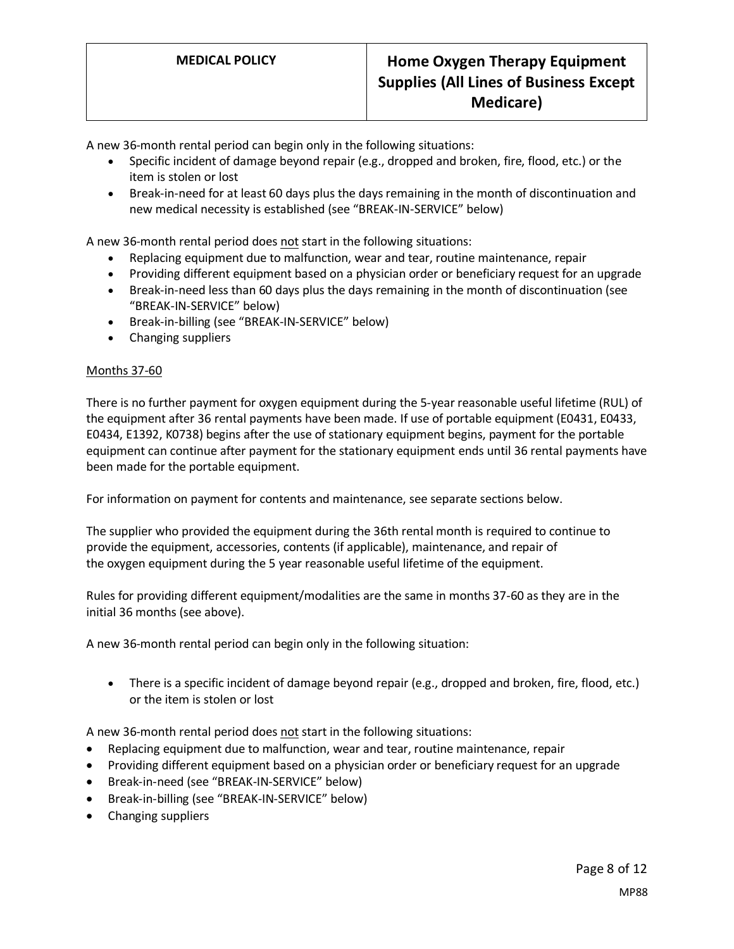A new 36-month rental period can begin only in the following situations:

- Specific incident of damage beyond repair (e.g., dropped and broken, fire, flood, etc.) or the item is stolen or lost
- Break-in-need for at least 60 days plus the days remaining in the month of discontinuation and new medical necessity is established (see "BREAK-IN-SERVICE" below)

A new 36-month rental period does not start in the following situations:

- Replacing equipment due to malfunction, wear and tear, routine maintenance, repair
- Providing different equipment based on a physician order or beneficiary request for an upgrade
- Break-in-need less than 60 days plus the days remaining in the month of discontinuation (see "BREAK-IN-SERVICE" below)
- Break-in-billing (see "BREAK-IN-SERVICE" below)
- Changing suppliers

#### Months 37-60

There is no further payment for oxygen equipment during the 5-year reasonable useful lifetime (RUL) of the equipment after 36 rental payments have been made. If use of portable equipment (E0431, E0433, E0434, E1392, K0738) begins after the use of stationary equipment begins, payment for the portable equipment can continue after payment for the stationary equipment ends until 36 rental payments have been made for the portable equipment.

For information on payment for contents and maintenance, see separate sections below.

The supplier who provided the equipment during the 36th rental month is required to continue to provide the equipment, accessories, contents (if applicable), maintenance, and repair of the oxygen equipment during the 5 year reasonable useful lifetime of the equipment.

Rules for providing different equipment/modalities are the same in months 37-60 as they are in the initial 36 months (see above).

A new 36-month rental period can begin only in the following situation:

• There is a specific incident of damage beyond repair (e.g., dropped and broken, fire, flood, etc.) or the item is stolen or lost

A new 36-month rental period does not start in the following situations:

- Replacing equipment due to malfunction, wear and tear, routine maintenance, repair
- Providing different equipment based on a physician order or beneficiary request for an upgrade
- Break-in-need (see "BREAK-IN-SERVICE" below)
- Break-in-billing (see "BREAK-IN-SERVICE" below)
- Changing suppliers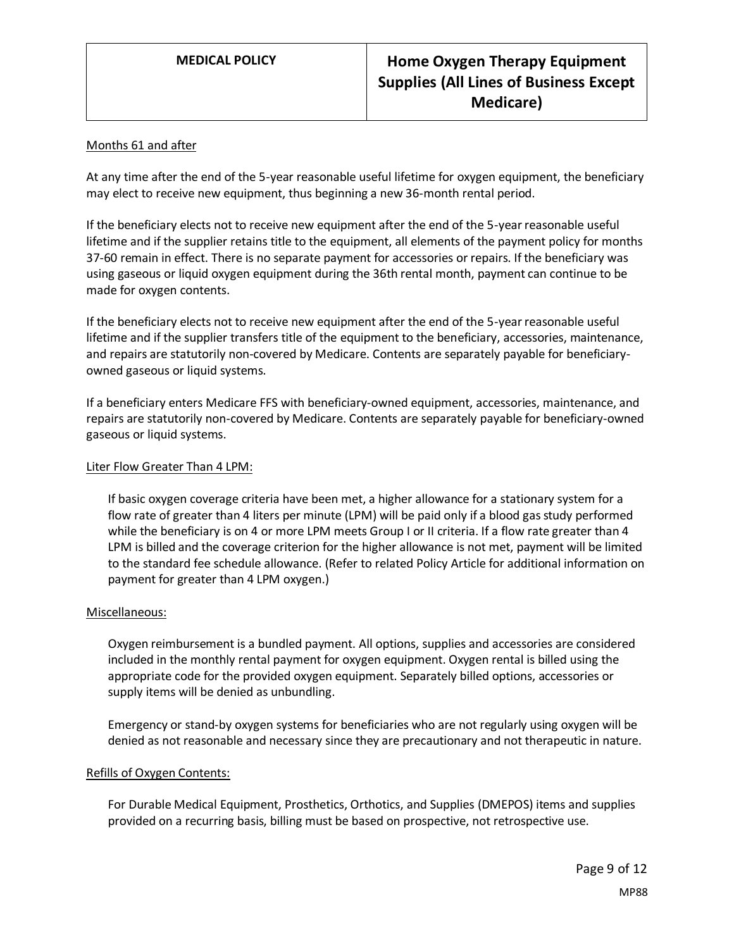#### Months 61 and after

At any time after the end of the 5-year reasonable useful lifetime for oxygen equipment, the beneficiary may elect to receive new equipment, thus beginning a new 36-month rental period.

If the beneficiary elects not to receive new equipment after the end of the 5-year reasonable useful lifetime and if the supplier retains title to the equipment, all elements of the payment policy for months 37-60 remain in effect. There is no separate payment for accessories or repairs. If the beneficiary was using gaseous or liquid oxygen equipment during the 36th rental month, payment can continue to be made for oxygen contents.

If the beneficiary elects not to receive new equipment after the end of the 5-year reasonable useful lifetime and if the supplier transfers title of the equipment to the beneficiary, accessories, maintenance, and repairs are statutorily non-covered by Medicare. Contents are separately payable for beneficiaryowned gaseous or liquid systems.

If a beneficiary enters Medicare FFS with beneficiary-owned equipment, accessories, maintenance, and repairs are statutorily non-covered by Medicare. Contents are separately payable for beneficiary-owned gaseous or liquid systems.

#### Liter Flow Greater Than 4 LPM:

If basic oxygen coverage criteria have been met, a higher allowance for a stationary system for a flow rate of greater than 4 liters per minute (LPM) will be paid only if a blood gas study performed while the beneficiary is on 4 or more LPM meets Group I or II criteria. If a flow rate greater than 4 LPM is billed and the coverage criterion for the higher allowance is not met, payment will be limited to the standard fee schedule allowance. (Refer to related Policy Article for additional information on payment for greater than 4 LPM oxygen.)

#### Miscellaneous:

Oxygen reimbursement is a bundled payment. All options, supplies and accessories are considered included in the monthly rental payment for oxygen equipment. Oxygen rental is billed using the appropriate code for the provided oxygen equipment. Separately billed options, accessories or supply items will be denied as unbundling.

Emergency or stand-by oxygen systems for beneficiaries who are not regularly using oxygen will be denied as not reasonable and necessary since they are precautionary and not therapeutic in nature.

#### Refills of Oxygen Contents:

For Durable Medical Equipment, Prosthetics, Orthotics, and Supplies (DMEPOS) items and supplies provided on a recurring basis, billing must be based on prospective, not retrospective use.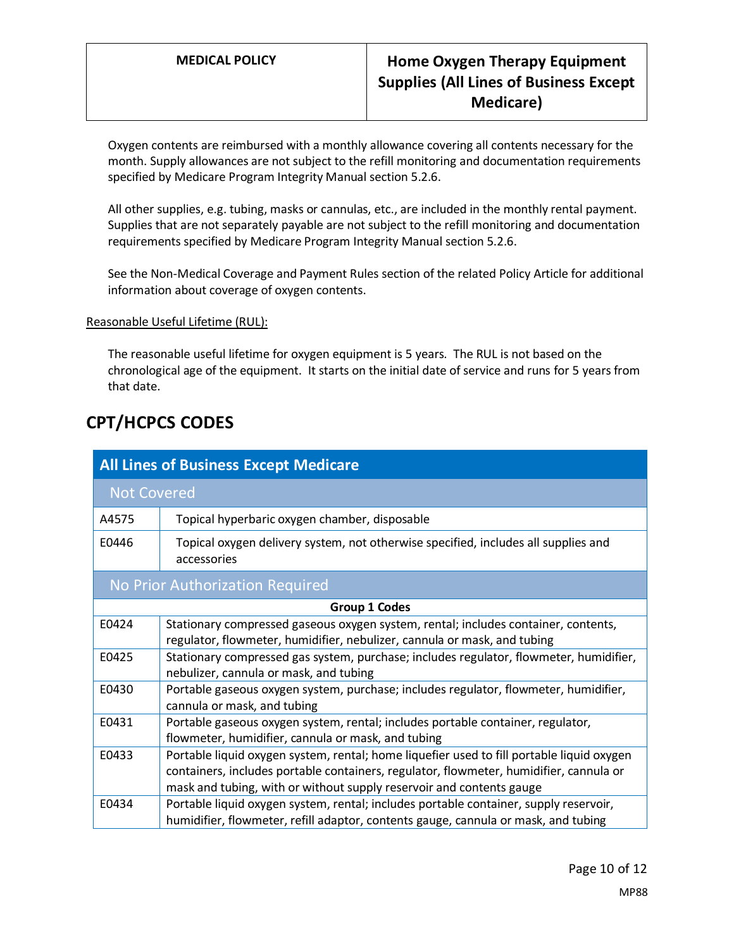Oxygen contents are reimbursed with a monthly allowance covering all contents necessary for the month. Supply allowances are not subject to the refill monitoring and documentation requirements specified by Medicare Program Integrity Manual section 5.2.6.

All other supplies, e.g. tubing, masks or cannulas, etc., are included in the monthly rental payment. Supplies that are not separately payable are not subject to the refill monitoring and documentation requirements specified by Medicare Program Integrity Manual section 5.2.6.

See the Non-Medical Coverage and Payment Rules section of the related Policy Article for additional information about coverage of oxygen contents.

#### Reasonable Useful Lifetime (RUL):

The reasonable useful lifetime for oxygen equipment is 5 years. The RUL is not based on the chronological age of the equipment. It starts on the initial date of service and runs for 5 years from that date.

# **CPT/HCPCS CODES**

| <b>All Lines of Business Except Medicare</b> |                                                                                                                                                                                                                                                             |
|----------------------------------------------|-------------------------------------------------------------------------------------------------------------------------------------------------------------------------------------------------------------------------------------------------------------|
| <b>Not Covered</b>                           |                                                                                                                                                                                                                                                             |
| A4575                                        | Topical hyperbaric oxygen chamber, disposable                                                                                                                                                                                                               |
| E0446                                        | Topical oxygen delivery system, not otherwise specified, includes all supplies and<br>accessories                                                                                                                                                           |
| No Prior Authorization Required              |                                                                                                                                                                                                                                                             |
| <b>Group 1 Codes</b>                         |                                                                                                                                                                                                                                                             |
| E0424                                        | Stationary compressed gaseous oxygen system, rental; includes container, contents,<br>regulator, flowmeter, humidifier, nebulizer, cannula or mask, and tubing                                                                                              |
| E0425                                        | Stationary compressed gas system, purchase; includes regulator, flowmeter, humidifier,<br>nebulizer, cannula or mask, and tubing                                                                                                                            |
| E0430                                        | Portable gaseous oxygen system, purchase; includes regulator, flowmeter, humidifier,<br>cannula or mask, and tubing                                                                                                                                         |
| E0431                                        | Portable gaseous oxygen system, rental; includes portable container, regulator,<br>flowmeter, humidifier, cannula or mask, and tubing                                                                                                                       |
| E0433                                        | Portable liquid oxygen system, rental; home liquefier used to fill portable liquid oxygen<br>containers, includes portable containers, regulator, flowmeter, humidifier, cannula or<br>mask and tubing, with or without supply reservoir and contents gauge |
| E0434                                        | Portable liquid oxygen system, rental; includes portable container, supply reservoir,<br>humidifier, flowmeter, refill adaptor, contents gauge, cannula or mask, and tubing                                                                                 |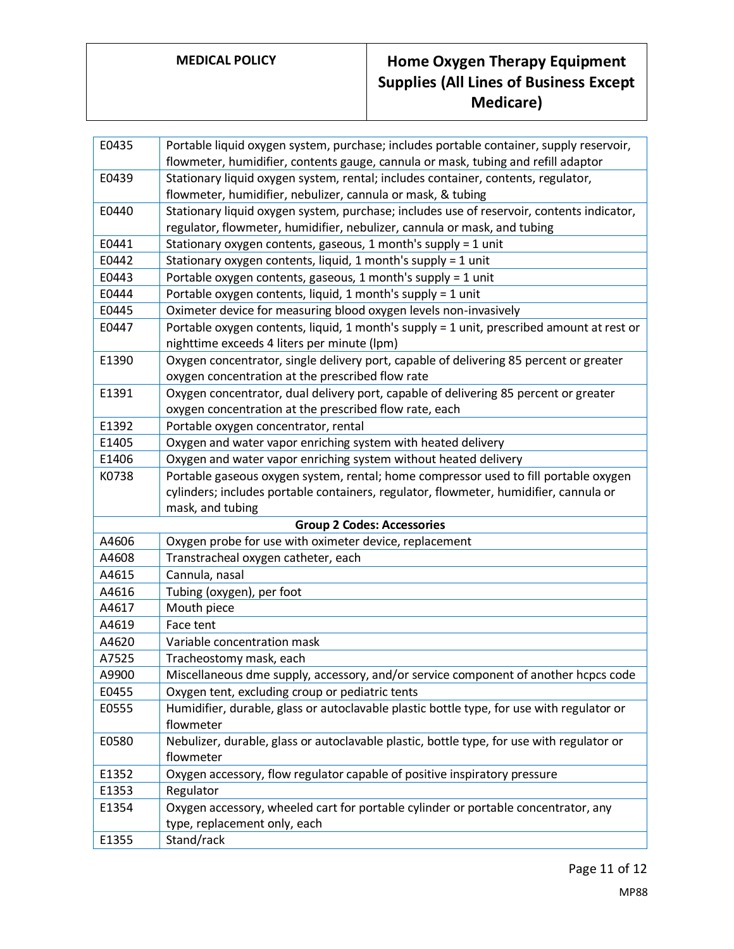| E0435                             | Portable liquid oxygen system, purchase; includes portable container, supply reservoir,   |  |
|-----------------------------------|-------------------------------------------------------------------------------------------|--|
|                                   | flowmeter, humidifier, contents gauge, cannula or mask, tubing and refill adaptor         |  |
| E0439                             | Stationary liquid oxygen system, rental; includes container, contents, regulator,         |  |
|                                   | flowmeter, humidifier, nebulizer, cannula or mask, & tubing                               |  |
| E0440                             | Stationary liquid oxygen system, purchase; includes use of reservoir, contents indicator, |  |
|                                   | regulator, flowmeter, humidifier, nebulizer, cannula or mask, and tubing                  |  |
| E0441                             | Stationary oxygen contents, gaseous, 1 month's supply = 1 unit                            |  |
| E0442                             | Stationary oxygen contents, liquid, 1 month's supply = 1 unit                             |  |
| E0443                             | Portable oxygen contents, gaseous, 1 month's supply = 1 unit                              |  |
| E0444                             | Portable oxygen contents, liquid, 1 month's supply = 1 unit                               |  |
| E0445                             | Oximeter device for measuring blood oxygen levels non-invasively                          |  |
| E0447                             | Portable oxygen contents, liquid, 1 month's supply = 1 unit, prescribed amount at rest or |  |
|                                   | nighttime exceeds 4 liters per minute (lpm)                                               |  |
| E1390                             | Oxygen concentrator, single delivery port, capable of delivering 85 percent or greater    |  |
|                                   | oxygen concentration at the prescribed flow rate                                          |  |
| E1391                             | Oxygen concentrator, dual delivery port, capable of delivering 85 percent or greater      |  |
|                                   | oxygen concentration at the prescribed flow rate, each                                    |  |
| E1392                             | Portable oxygen concentrator, rental                                                      |  |
| E1405                             | Oxygen and water vapor enriching system with heated delivery                              |  |
| E1406                             | Oxygen and water vapor enriching system without heated delivery                           |  |
| K0738                             | Portable gaseous oxygen system, rental; home compressor used to fill portable oxygen      |  |
|                                   | cylinders; includes portable containers, regulator, flowmeter, humidifier, cannula or     |  |
|                                   | mask, and tubing                                                                          |  |
| <b>Group 2 Codes: Accessories</b> |                                                                                           |  |
| A4606                             | Oxygen probe for use with oximeter device, replacement                                    |  |
| A4608                             | Transtracheal oxygen catheter, each                                                       |  |
| A4615                             | Cannula, nasal                                                                            |  |
| A4616                             | Tubing (oxygen), per foot                                                                 |  |
| A4617                             | Mouth piece                                                                               |  |
| A4619                             | Face tent                                                                                 |  |
| A4620                             | Variable concentration mask                                                               |  |
| A7525                             | Tracheostomy mask, each                                                                   |  |
| A9900                             | Miscellaneous dme supply, accessory, and/or service component of another hcpcs code       |  |
| E0455                             | Oxygen tent, excluding croup or pediatric tents                                           |  |
| E0555                             | Humidifier, durable, glass or autoclavable plastic bottle type, for use with regulator or |  |
|                                   | flowmeter                                                                                 |  |
| E0580                             | Nebulizer, durable, glass or autoclavable plastic, bottle type, for use with regulator or |  |
|                                   | flowmeter                                                                                 |  |
| E1352                             | Oxygen accessory, flow regulator capable of positive inspiratory pressure                 |  |
| E1353                             | Regulator                                                                                 |  |
| E1354                             | Oxygen accessory, wheeled cart for portable cylinder or portable concentrator, any        |  |
|                                   | type, replacement only, each                                                              |  |
| E1355                             | Stand/rack                                                                                |  |